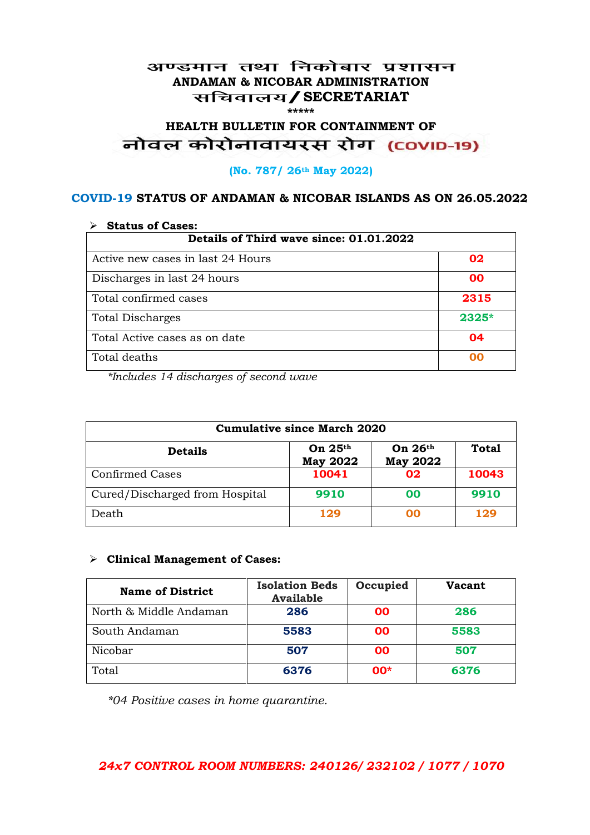#### अण्डमान तथा निकोबार प्रशासन **ANDAMAN & NICOBAR ADMINISTRATION /SECRETARIAT \*\*\*\*\***

# **HEALTH BULLETIN FOR CONTAINMENT OF**  नोवल कोरोनावायरस रोग (COVID-19)

#### **(No. 787/ 26th May 2022)**

#### **COVID-19 STATUS OF ANDAMAN & NICOBAR ISLANDS AS ON 26.05.2022**

| <b>Status of Cases:</b>                 |         |  |
|-----------------------------------------|---------|--|
| Details of Third wave since: 01.01.2022 |         |  |
| Active new cases in last 24 Hours       | 02      |  |
| Discharges in last 24 hours             | 00      |  |
| Total confirmed cases                   | 2315    |  |
| <b>Total Discharges</b>                 | $2325*$ |  |
| Total Active cases as on date           | 04      |  |
| Total deaths                            | OO      |  |

*\*Includes 14 discharges of second wave*

| <b>Cumulative since March 2020</b> |                              |                              |              |
|------------------------------------|------------------------------|------------------------------|--------------|
| <b>Details</b>                     | On $25th$<br><b>May 2022</b> | On $26th$<br><b>May 2022</b> | <b>Total</b> |
| <b>Confirmed Cases</b>             | 10041                        | 02                           | 10043        |
| Cured/Discharged from Hospital     | 9910                         | 00                           | 9910         |
| Death                              | 129                          | 00                           | 129          |

#### **Clinical Management of Cases:**

| <b>Name of District</b> | <b>Isolation Beds</b><br><b>Available</b> | Occupied  | Vacant |
|-------------------------|-------------------------------------------|-----------|--------|
| North & Middle Andaman  | 286                                       | <b>OO</b> | 286    |
| South Andaman           | 5583                                      | <b>OO</b> | 5583   |
| Nicobar                 | 507                                       | <b>OO</b> | 507    |
| Total                   | 6376                                      | $00*$     | 6376   |

*\*04 Positive cases in home quarantine.*

#### *24x7 CONTROL ROOM NUMBERS: 240126/ 232102 / 1077 / 1070*